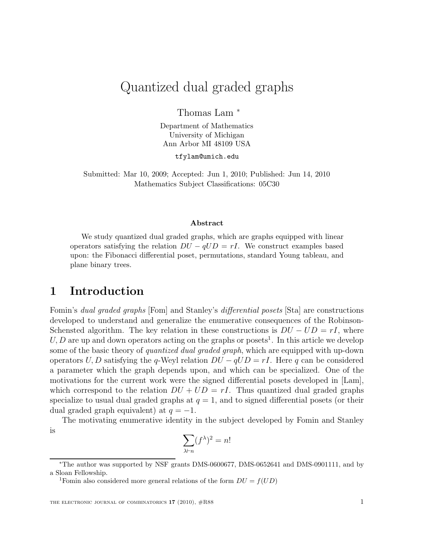# Quantized dual graded graphs

Thomas Lam <sup>∗</sup>

Department of Mathematics University of Michigan Ann Arbor MI 48109 USA

tfylam@umich.edu

Submitted: Mar 10, 2009; Accepted: Jun 1, 2010; Published: Jun 14, 2010 Mathematics Subject Classifications: 05C30

#### Abstract

We study quantized dual graded graphs, which are graphs equipped with linear operators satisfying the relation  $DU - qUD = rI$ . We construct examples based upon: the Fibonacci differential poset, permutations, standard Young tableau, and plane binary trees.

# 1 Introduction

Fomin's dual graded graphs [Fom] and Stanley's differential posets [Sta] are constructions developed to understand and generalize the enumerative consequences of the Robinson-Schensted algorithm. The key relation in these constructions is  $DU - UD = rI$ , where  $U, D$  are up and down operators acting on the graphs or posets<sup>1</sup>. In this article we develop some of the basic theory of *quantized dual graded graph*, which are equipped with up-down operators U, D satisfying the q-Weyl relation  $DU - qUD = rI$ . Here q can be considered a parameter which the graph depends upon, and which can be specialized. One of the motivations for the current work were the signed differential posets developed in [Lam], which correspond to the relation  $DU + UD = rI$ . Thus quantized dual graded graphs specialize to usual dual graded graphs at  $q = 1$ , and to signed differential posets (or their dual graded graph equivalent) at  $q = -1$ .

The motivating enumerative identity in the subject developed by Fomin and Stanley is

$$
\sum_{\lambda \vdash n} (f^\lambda)^2 = n!
$$

<sup>∗</sup>The author was supported by NSF grants DMS-0600677, DMS-0652641 and DMS-0901111, and by a Sloan Fellowship.

<sup>&</sup>lt;sup>1</sup>Fomin also considered more general relations of the form  $DU = f(UD)$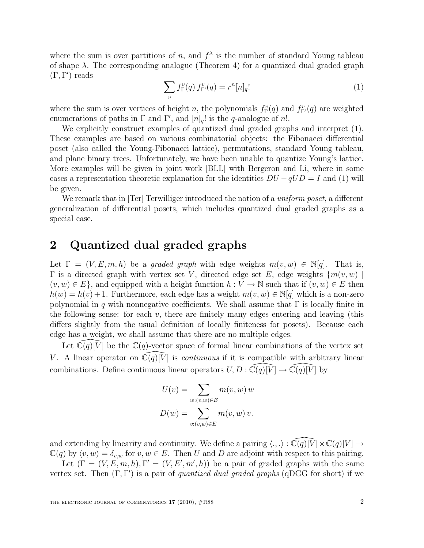where the sum is over partitions of n, and  $f^{\lambda}$  is the number of standard Young tableau of shape  $\lambda$ . The corresponding analogue (Theorem 4) for a quantized dual graded graph (Γ, Γ ′ ) reads

$$
\sum_{v} f_{\Gamma}^{v}(q) f_{\Gamma'}^{v}(q) = r^{n} [n]_{q}! \tag{1}
$$

where the sum is over vertices of height n, the polynomials  $f_{\Gamma}^{v}(q)$  and  $f_{\Gamma}^{v}(q)$  are weighted enumerations of paths in  $\Gamma$  and  $\Gamma'$ , and  $[n]_q!$  is the q-analogue of n!.

We explicitly construct examples of quantized dual graded graphs and interpret (1). These examples are based on various combinatorial objects: the Fibonacci differential poset (also called the Young-Fibonacci lattice), permutations, standard Young tableau, and plane binary trees. Unfortunately, we have been unable to quantize Young's lattice. More examples will be given in joint work [BLL] with Bergeron and Li, where in some cases a representation theoretic explanation for the identities  $DU - qUD = I$  and (1) will be given.

We remark that in [Ter] Terwilliger introduced the notion of a *uniform poset*, a different generalization of differential posets, which includes quantized dual graded graphs as a special case.

# 2 Quantized dual graded graphs

Let  $\Gamma = (V, E, m, h)$  be a graded graph with edge weights  $m(v, w) \in \mathbb{N}[q]$ . That is,  $\Gamma$  is a directed graph with vertex set V, directed edge set E, edge weights  $\{m(v, w)\}$  $(v, w) \in E$ , and equipped with a height function  $h: V \to \mathbb{N}$  such that if  $(v, w) \in E$  then  $h(w) = h(v) + 1$ . Furthermore, each edge has a weight  $m(v, w) \in \mathbb{N}[q]$  which is a non-zero polynomial in q with nonnegative coefficients. We shall assume that  $\Gamma$  is locally finite in the following sense: for each  $v$ , there are finitely many edges entering and leaving (this differs slightly from the usual definition of locally finiteness for posets). Because each edge has a weight, we shall assume that there are no multiple edges.

Let  $\widetilde{\mathbb{C}}(q)[\widetilde{V}]$  be the  $\mathbb{C}(q)$ -vector space of formal linear combinations of the vertex set V. A linear operator on  $\mathbb{C}(q)[\bar{V}]$  is *continuous* if it is compatible with arbitrary linear combinations. Define continuous linear operators  $U, D : \tilde{\mathbb{C}}(q)[\tilde{V}] \to \tilde{\mathbb{C}}(q)[\tilde{V}]$  by

$$
U(v) = \sum_{w:(v,w)\in E} m(v, w) w
$$

$$
D(w) = \sum_{v:(v,w)\in E} m(v, w) v.
$$

and extending by linearity and continuity. We define a pairing  $\langle ., . \rangle : \widehat{\mathbb{C}(q)[V]} \times \mathbb{C}(q)[V] \rightarrow$  $\mathbb{C}(q)$  by  $\langle v, w \rangle = \delta_{v,w}$  for  $v, w \in E$ . Then U and D are adjoint with respect to this pairing.

Let  $(\Gamma = (V, E, m, h), \Gamma' = (V, E', m', h))$  be a pair of graded graphs with the same vertex set. Then  $(\Gamma, \Gamma')$  is a pair of *quantized dual graded graphs* (qDGG for short) if we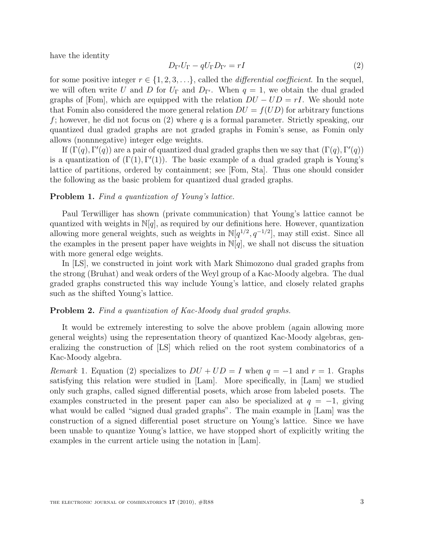have the identity

$$
D_{\Gamma'}U_{\Gamma} - qU_{\Gamma}D_{\Gamma'} = rI
$$
\n(2)

for some positive integer  $r \in \{1, 2, 3, \ldots\}$ , called the *differential coefficient*. In the sequel, we will often write U and D for  $U_{\Gamma}$  and  $D_{\Gamma'}$ . When  $q = 1$ , we obtain the dual graded graphs of [Fom], which are equipped with the relation  $DU - UD = rI$ . We should note that Fomin also considered the more general relation  $DU = f(UD)$  for arbitrary functions f; however, he did not focus on  $(2)$  where q is a formal parameter. Strictly speaking, our quantized dual graded graphs are not graded graphs in Fomin's sense, as Fomin only allows (nonnnegative) integer edge weights.

If  $(\Gamma(q), \Gamma'(q))$  are a pair of quantized dual graded graphs then we say that  $(\Gamma(q), \Gamma'(q))$ is a quantization of  $(\Gamma(1), \Gamma'(1))$ . The basic example of a dual graded graph is Young's lattice of partitions, ordered by containment; see [Fom, Sta]. Thus one should consider the following as the basic problem for quantized dual graded graphs.

#### Problem 1. Find a quantization of Young's lattice.

Paul Terwilliger has shown (private communication) that Young's lattice cannot be quantized with weights in  $\mathbb{N}[q]$ , as required by our definitions here. However, quantization allowing more general weights, such as weights in  $\mathbb{N}[q^{1/2}, q^{-1/2}]$ , may still exist. Since all the examples in the present paper have weights in  $\mathbb{N}[q]$ , we shall not discuss the situation with more general edge weights.

In [LS], we constructed in joint work with Mark Shimozono dual graded graphs from the strong (Bruhat) and weak orders of the Weyl group of a Kac-Moody algebra. The dual graded graphs constructed this way include Young's lattice, and closely related graphs such as the shifted Young's lattice.

### Problem 2. Find a quantization of Kac-Moody dual graded graphs.

It would be extremely interesting to solve the above problem (again allowing more general weights) using the representation theory of quantized Kac-Moody algebras, generalizing the construction of [LS] which relied on the root system combinatorics of a Kac-Moody algebra.

Remark 1. Equation (2) specializes to  $DU + UD = I$  when  $q = -1$  and  $r = 1$ . Graphs satisfying this relation were studied in [Lam]. More specifically, in [Lam] we studied only such graphs, called signed differential posets, which arose from labeled posets. The examples constructed in the present paper can also be specialized at  $q = -1$ , giving what would be called "signed dual graded graphs". The main example in [Lam] was the construction of a signed differential poset structure on Young's lattice. Since we have been unable to quantize Young's lattice, we have stopped short of explicitly writing the examples in the current article using the notation in [Lam].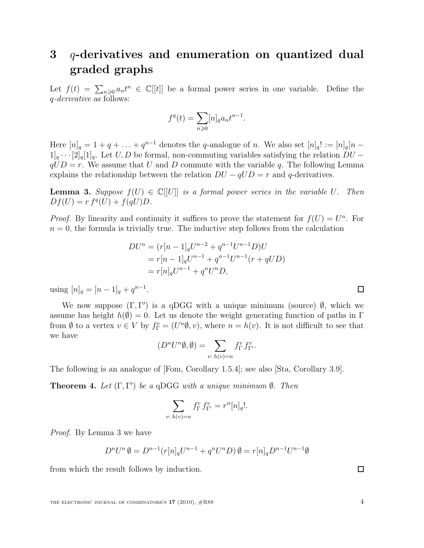# 3 q-derivatives and enumeration on quantized dual graded graphs

Let  $f(t) = \sum_{n\geq 0} a_n t^n \in \mathbb{C}[[t]]$  be a formal power series in one variable. Define the q-derivative as follows:

$$
f^q(t) = \sum_{n\geqslant 0} [n]_q a_n t^{n-1}.
$$

Here  $[n]_q = 1 + q + \ldots + q^{n-1}$  denotes the q-analogue of n. We also set  $[n]_q! := [n]_q[n-1]$  $1]_q \cdots [2]_q [1]_q$ . Let  $U, D$  be formal, non-commuting variables satisfying the relation  $DU$  $qUD = r$ . We assume that U and D commute with the variable q. The following Lemma explains the relationship between the relation  $DU - qUD = r$  and q-derivatives.

**Lemma 3.** Suppose  $f(U) \in \mathbb{C}[[U]]$  is a formal power series in the variable U. Then  $Df(U) = r f<sup>q</sup>(U) + f(qU)D.$ 

*Proof.* By linearity and continuity it suffices to prove the statement for  $f(U) = U<sup>n</sup>$ . For  $n = 0$ , the formula is trivially true. The inductive step follows from the calculation

$$
DU^{n} = (r[n-1]_{q}U^{n-2} + q^{n-1}U^{n-1}D)U
$$
  
=  $r[n-1]_{q}U^{n-1} + q^{n-1}U^{n-1}(r+qUD)$   
=  $r[n]_{q}U^{n-1} + q^{n}U^{n}D,$ 

using  $[n]_q = [n-1]_q + q^{n-1}$ .

We now suppose  $(\Gamma, \Gamma')$  is a qDGG with a unique minimum (source)  $\emptyset$ , which we assume has height  $h(\emptyset) = 0$ . Let us denote the weight generating function of paths in Γ from Ø to a vertex  $v \in V$  by  $f_{\Gamma}^v = (U^n \emptyset, v)$ , where  $n = h(v)$ . It is not difficult to see that we have

$$
(D^n U^n \emptyset, \emptyset) = \sum_{v: h(v) = n} f_{\Gamma}^v f_{\Gamma'}^v.
$$

The following is an analogue of [Fom, Corollary 1.5.4]; see also [Sta, Corollary 3.9].

**Theorem 4.** Let  $(\Gamma, \Gamma')$  be a qDGG with a unique minimum  $\emptyset$ . Then

$$
\sum_{v:\;h(v)=n}f_{\Gamma}^v\,f_{\Gamma'}^v=r^n[n]_q!.
$$

Proof. By Lemma 3 we have

$$
D^nU^n\,\emptyset=D^{n-1}(r[n]_qU^{n-1}+q^nU^nD)\,\emptyset=r[n]_qD^{n-1}U^{n-1}\emptyset
$$

from which the result follows by induction.

THE ELECTRONIC JOURNAL OF COMBINATORICS  $17$  (2010),  $\#R88$   $4$ 

 $\Box$ 

 $\Box$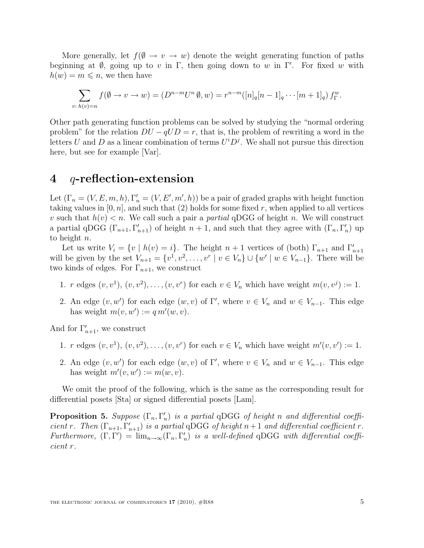More generally, let  $f(\emptyset \to v \to w)$  denote the weight generating function of paths beginning at  $\emptyset$ , going up to v in Γ, then going down to w in Γ'. For fixed w with  $h(w) = m \leqslant n$ , we then have

$$
\sum_{v:\ h(v)=n} f(\emptyset \to v \to w) = (D^{n-m}U^n \emptyset, w) = r^{n-m}([n]_q[n-1]_q \cdots [m+1]_q) f_{\Gamma}^w.
$$

Other path generating function problems can be solved by studying the "normal ordering problem" for the relation  $DU - qUD = r$ , that is, the problem of rewriting a word in the letters U and D as a linear combination of terms  $U^i D^j$ . We shall not pursue this direction here, but see for example [Var].

### 4  $q$ -reflection-extension

Let  $(\Gamma_n = (V, E, m, h), \Gamma'_n = (V, E', m', h))$  be a pair of graded graphs with height function taking values in  $[0, n]$ , and such that  $(2)$  holds for some fixed r, when applied to all vertices v such that  $h(v) < n$ . We call such a pair a partial qDGG of height n. We will construct a partial qDGG  $(\Gamma_{n+1}, \Gamma'_{n+1})$  of height  $n+1$ , and such that they agree with  $(\Gamma_n, \Gamma'_n)$  $'_{n}$ ) up to height n.

Let us write  $V_i = \{v \mid h(v) = i\}$ . The height  $n + 1$  vertices of (both)  $\Gamma_{n+1}$  and  $\Gamma'_{n+1}$ will be given by the set  $V_{n+1} = \{v^1, v^2, \ldots, v^r \mid v \in V_n\} \cup \{w' \mid w \in V_{n-1}\}.$  There will be two kinds of edges. For  $\Gamma_{n+1}$ , we construct

- 1. r edges  $(v, v^1), (v, v^2), \ldots, (v, v^r)$  for each  $v \in V_n$  which have weight  $m(v, v^j) := 1$ .
- 2. An edge  $(v, w')$  for each edge  $(w, v)$  of  $\Gamma'$ , where  $v \in V_n$  and  $w \in V_{n-1}$ . This edge has weight  $m(v, w') := q m'(w, v)$ .

And for  $\Gamma'_{n+1}$ , we construct

- 1. r edges  $(v, v^1), (v, v^2), \ldots, (v, v^r)$  for each  $v \in V_n$  which have weight  $m'(v, v') := 1$ .
- 2. An edge  $(v, w')$  for each edge  $(w, v)$  of  $\Gamma'$ , where  $v \in V_n$  and  $w \in V_{n-1}$ . This edge has weight  $m'(v, w') := m(w, v)$ .

We omit the proof of the following, which is the same as the corresponding result for differential posets [Sta] or signed differential posets [Lam].

**Proposition 5.** Suppose  $(\Gamma_n, \Gamma'_n)$  $n \choose n$  is a partial qDGG of height n and differential coefficient r. Then  $(\Gamma_{n+1}, \Gamma'_{n+1})$  is a partial qDGG of height  $n+1$  and differential coefficient r. Furthermore,  $(\Gamma, \Gamma') = \lim_{n \to \infty} (\Gamma_n, \Gamma'_n)$  $n'_n$ ) is a well-defined qDGG with differential coefficient r.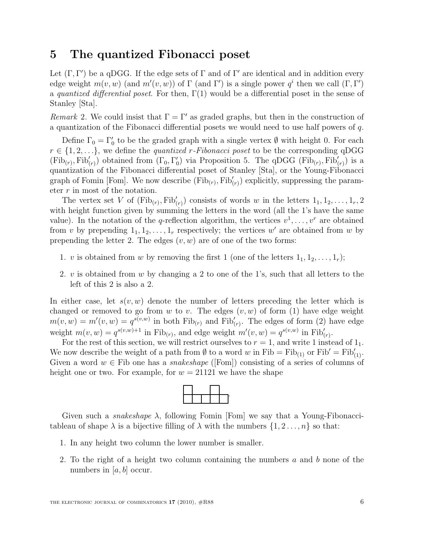# 5 The quantized Fibonacci poset

Let  $(\Gamma, \Gamma')$  be a qDGG. If the edge sets of  $\Gamma$  and of  $\Gamma'$  are identical and in addition every edge weight  $m(v, w)$  (and  $m'(v, w)$ ) of  $\Gamma$  (and  $\Gamma'$ ) is a single power  $q^i$  then we call  $(\Gamma, \Gamma')$ a quantized differential poset. For then,  $\Gamma(1)$  would be a differential poset in the sense of Stanley [Sta].

Remark 2. We could insist that  $\Gamma = \Gamma'$  as graded graphs, but then in the construction of a quantization of the Fibonacci differential posets we would need to use half powers of q.

Define  $\Gamma_0 = \Gamma'_0$  to be the graded graph with a single vertex  $\emptyset$  with height 0. For each  $r \in \{1, 2, \ldots\}$ , we define the *quantized r-Fibonacci poset* to be the corresponding qDGG  $(Fib_{(r)}, Fib'_{(r)})$  obtained from  $(\Gamma_0, \Gamma'_0)$  $\chi_0$ ) via Proposition 5. The qDGG (Fib<sub>(r)</sub>, Fib $'_{(r)}$ ) is a quantization of the Fibonacci differential poset of Stanley [Sta], or the Young-Fibonacci graph of Fomin [Fom]. We now describe  $(Fib_{(r)}, Fib'_{(r)})$  explicitly, suppressing the parameter r in most of the notation.

The vertex set V of  $(\text{Fib}_{(r)}, \text{Fib}'_{(r)})$  consists of words w in the letters  $1_1, 1_2, \ldots, 1_r, 2$ with height function given by summing the letters in the word (all the 1's have the same value). In the notation of the q-reflection algorithm, the vertices  $v^1, \ldots, v^r$  are obtained from v by prepending  $1_1, 1_2, \ldots, 1_r$  respectively; the vertices w' are obtained from w by prepending the letter 2. The edges  $(v, w)$  are of one of the two forms:

- 1. v is obtained from w by removing the first 1 (one of the letters  $1_1, 1_2, \ldots, 1_r$ );
- 2. v is obtained from w by changing a 2 to one of the 1's, such that all letters to the left of this 2 is also a 2.

In either case, let  $s(v, w)$  denote the number of letters preceding the letter which is changed or removed to go from w to v. The edges  $(v, w)$  of form (1) have edge weight  $m(v, w) = m'(v, w) = q^{s(v, w)}$  in both  $\text{Fib}_{(r)}$  and  $\text{Fib}'_{(r)}$ . The edges of form (2) have edge weight  $m(v, w) = q^{s(v, w)+1}$  in Fib<sub>(r)</sub>, and edge weight  $m'(v, w) = q^{s(v, w)}$  in Fib'<sub>(r)</sub>.

For the rest of this section, we will restrict ourselves to  $r = 1$ , and write 1 instead of  $1<sub>1</sub>$ . We now describe the weight of a path from  $\emptyset$  to a word w in Fib = Fib<sub>(1)</sub> or Fib' = Fib<sub>(1)</sub>. Given a word  $w \in$  Fib one has a *snakeshape* ([Fom]) consisting of a series of columns of height one or two. For example, for  $w = 21121$  we have the shape



Given such a *snakeshape*  $\lambda$ , following Fomin [Fom] we say that a Young-Fibonaccitableau of shape  $\lambda$  is a bijective filling of  $\lambda$  with the numbers  $\{1, 2, \ldots, n\}$  so that:

- 1. In any height two column the lower number is smaller.
- 2. To the right of a height two column containing the numbers a and b none of the numbers in  $[a, b]$  occur.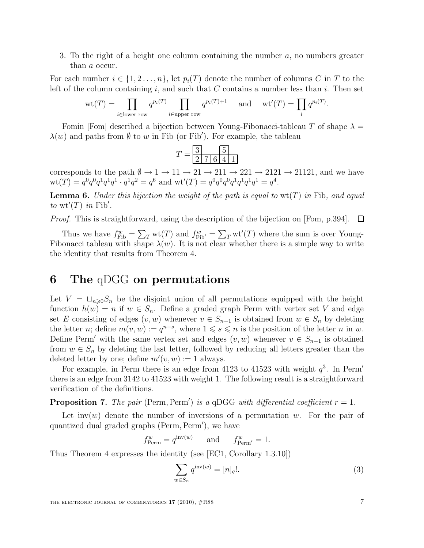3. To the right of a height one column containing the number  $a$ , no numbers greater than a occur.

For each number  $i \in \{1, 2, ..., n\}$ , let  $p_i(T)$  denote the number of columns C in T to the left of the column containing i, and such that  $C$  contains a number less than i. Then set

$$
\operatorname{wt}(T) = \prod_{i \in \text{lower row}} q^{p_i(T)} \prod_{i \in \text{upper row}} q^{p_i(T)+1} \quad \text{and} \quad \operatorname{wt}'(T) = \prod_i q^{p_i(T)}.
$$

Fomin [Fom] described a bijection between Young-Fibonacci-tableau T of shape  $\lambda =$  $\lambda(w)$  and paths from Ø to w in Fib (or Fib'). For example, the tableau

$$
T = \frac{3}{2 \mid 7 \mid 6 \mid 4 \mid 1}
$$

corresponds to the path  $\emptyset \to 1 \to 11 \to 21 \to 211 \to 221 \to 2121 \to 21121$ , and we have  $\mathrm{wt}(T) = q^0 q^0 q^1 q^1 q^1 \cdot q^1 q^2 = q^6$  and  $\mathrm{wt}'(T) = q^0 q^0 q^0 q^1 q^1 q^1 q^1 = q^4$ .

**Lemma 6.** Under this bijection the weight of the path is equal to  $wt(T)$  in Fib, and equal to wt'(T) in Fib'.

*Proof.* This is straightforward, using the description of the bijection on [Fom, p.394].  $\Box$ 

Thus we have  $f_{\text{Fib}}^w = \sum_T \text{wt}(T)$  and  $f_{\text{Fib}'}^w = \sum_T \text{wt}'(T)$  where the sum is over Young-Fibonacci tableau with shape  $\lambda(w)$ . It is not clear whether there is a simple way to write the identity that results from Theorem 4.

# 6 The qDGG on permutations

Let  $V = \sqcup_{n\geq 0} S_n$  be the disjoint union of all permutations equipped with the height function  $h(w) = n$  if  $w \in S_n$ . Define a graded graph Perm with vertex set V and edge set E consisting of edges  $(v, w)$  whenever  $v \in S_{n-1}$  is obtained from  $w \in S_n$  by deleting the letter *n*; define  $m(v, w) := q^{n-s}$ , where  $1 \leq s \leq n$  is the position of the letter *n* in *w*. Define Perm' with the same vertex set and edges  $(v, w)$  whenever  $v \in S_{n-1}$  is obtained from  $w \in S_n$  by deleting the last letter, followed by reducing all letters greater than the deleted letter by one; define  $m'(v, w) := 1$  always.

For example, in Perm there is an edge from 4123 to 41523 with weight  $q^3$ . In Perm' there is an edge from 3142 to 41523 with weight 1. The following result is a straightforward verification of the definitions.

**Proposition 7.** The pair (Perm, Perm') is a qDGG with differential coefficient  $r = 1$ .

Let inv(w) denote the number of inversions of a permutation w. For the pair of quantized dual graded graphs (Perm, Perm′ ), we have

$$
f_{\text{Perm}}^w = q^{\text{inv}(w)} \qquad \text{and} \qquad f_{\text{Perm'}}^w = 1.
$$

Thus Theorem 4 expresses the identity (see [EC1, Corollary 1.3.10])

$$
\sum_{w \in S_n} q^{\text{inv}(w)} = [n]_q!.
$$
\n(3)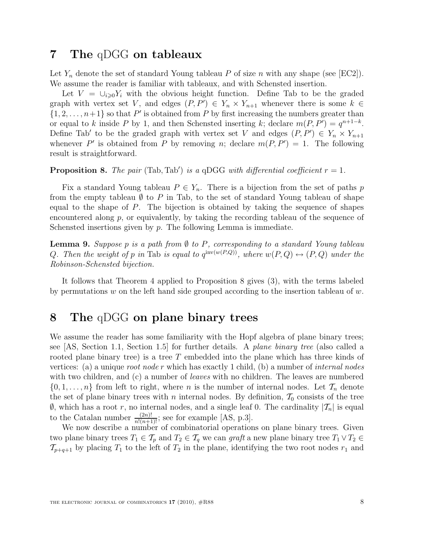# 7 The qDGG on tableaux

Let  $Y_n$  denote the set of standard Young tableau P of size n with any shape (see [EC2]). We assume the reader is familiar with tableaux, and with Schensted insertion.

Let  $V = \bigcup_{i \geq 0} Y_i$  with the obvious height function. Define Tab to be the graded graph with vertex set V, and edges  $(P, P') \in Y_n \times Y_{n+1}$  whenever there is some  $k \in$  $\{1, 2, \ldots, n+1\}$  so that P' is obtained from P by first increasing the numbers greater than or equal to k inside P by 1, and then Schensted inserting k; declare  $m(P, P') = q^{n+1-k}$ . Define Tab' to be the graded graph with vertex set V and edges  $(P, P') \in Y_n \times Y_{n+1}$ whenever P' is obtained from P by removing n; declare  $m(P, P') = 1$ . The following result is straightforward.

**Proposition 8.** The pair (Tab, Tab') is a qDGG with differential coefficient  $r = 1$ .

Fix a standard Young tableau  $P \in Y_n$ . There is a bijection from the set of paths p from the empty tableau  $\emptyset$  to P in Tab, to the set of standard Young tableau of shape equal to the shape of P. The bijection is obtained by taking the sequence of shapes encountered along  $p$ , or equivalently, by taking the recording tableau of the sequence of Schensted insertions given by  $p$ . The following Lemma is immediate.

**Lemma 9.** Suppose p is a path from  $\emptyset$  to P, corresponding to a standard Young tableau Q. Then the weight of p in Tab is equal to  $q^{\text{inv}(w(P,Q))}$ , where  $w(P,Q) \leftrightarrow (P,Q)$  under the Robinson-Schensted bijection.

It follows that Theorem 4 applied to Proposition 8 gives (3), with the terms labeled by permutations  $w$  on the left hand side grouped according to the insertion tableau of  $w$ .

# 8 The qDGG on plane binary trees

We assume the reader has some familiarity with the Hopf algebra of plane binary trees; see [AS, Section 1.1, Section 1.5] for further details. A plane binary tree (also called a rooted plane binary tree) is a tree  $T$  embedded into the plane which has three kinds of vertices: (a) a unique *root node r* which has exactly 1 child, (b) a number of *internal nodes* with two children, and (c) a number of *leaves* with no children. The leaves are numbered  $\{0, 1, \ldots, n\}$  from left to right, where *n* is the number of internal nodes. Let  $\mathcal{T}_n$  denote the set of plane binary trees with n internal nodes. By definition,  $\mathcal{T}_0$  consists of the tree  $\emptyset$ , which has a root r, no internal nodes, and a single leaf 0. The cardinality  $|\mathcal{T}_n|$  is equal to the Catalan number  $\frac{(2n)!}{n!(n+1)!}$ ; see for example [AS, p.3].

We now describe a number of combinatorial operations on plane binary trees. Given two plane binary trees  $T_1 \in \mathcal{T}_p$  and  $T_2 \in \mathcal{T}_q$  we can graft a new plane binary tree  $T_1 \vee T_2 \in$  $\mathcal{T}_{p+q+1}$  by placing  $T_1$  to the left of  $T_2$  in the plane, identifying the two root nodes  $r_1$  and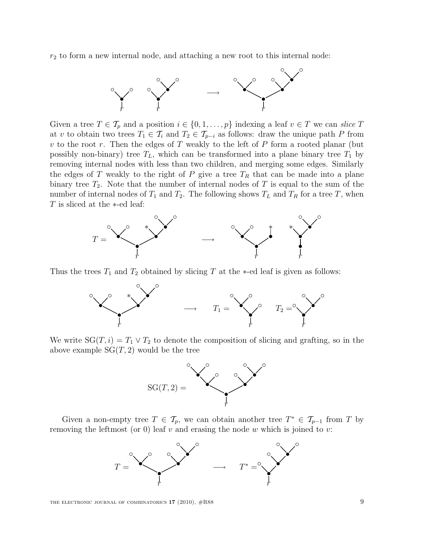$r<sub>2</sub>$  to form a new internal node, and attaching a new root to this internal node:



Given a tree  $T \in \mathcal{T}_p$  and a position  $i \in \{0, 1, \ldots, p\}$  indexing a leaf  $v \in T$  we can slice T at v to obtain two trees  $T_1 \in \mathcal{T}_i$  and  $T_2 \in \mathcal{T}_{p-i}$  as follows: draw the unique path P from  $v$  to the root  $r$ . Then the edges of  $T$  weakly to the left of  $P$  form a rooted planar (but possibly non-binary) tree  $T_L$ , which can be transformed into a plane binary tree  $T_1$  by removing internal nodes with less than two children, and merging some edges. Similarly the edges of T weakly to the right of P give a tree  $T_R$  that can be made into a plane binary tree  $T_2$ . Note that the number of internal nodes of T is equal to the sum of the number of internal nodes of  $T_1$  and  $T_2$ . The following shows  $T_L$  and  $T_R$  for a tree T, when T is sliced at the ∗-ed leaf:



Thus the trees  $T_1$  and  $T_2$  obtained by slicing T at the \*-ed leaf is given as follows:



We write  $SG(T, i) = T_1 \vee T_2$  to denote the composition of slicing and grafting, so in the above example  $SG(T, 2)$  would be the tree



Given a non-empty tree  $T \in \mathcal{T}_p$ , we can obtain another tree  $T^* \in \mathcal{T}_{p-1}$  from T by removing the leftmost (or 0) leaf  $v$  and erasing the node  $w$  which is joined to  $v$ :

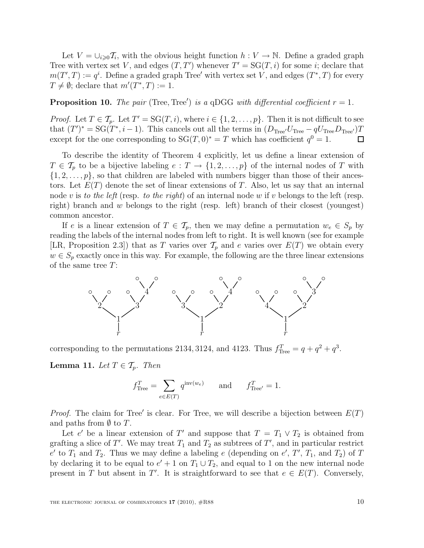Let  $V = \bigcup_{i \geq 0} T_i$ , with the obvious height function  $h: V \to \mathbb{N}$ . Define a graded graph Tree with vertex set V, and edges  $(T, T')$  whenever  $T' = SG(T, i)$  for some i; declare that  $m(T',T) := q^i$ . Define a graded graph Tree' with vertex set V, and edges  $(T^*,T)$  for every  $T \neq \emptyset$ ; declare that  $m'(T^*, T) := 1$ .

### **Proposition 10.** The pair (Tree, Tree') is a qDGG with differential coefficient  $r = 1$ .

*Proof.* Let  $T \in \mathcal{T}_p$ . Let  $T' = SG(T, i)$ , where  $i \in \{1, 2, ..., p\}$ . Then it is not difficult to see that  $(T')^* = SG(T^*, i-1)$ . This cancels out all the terms in  $(D_{Tree'}U_{Tree} - qU_{Tree}D_{Tree'})T$ except for the one corresponding to  $SG(T, 0)^* = T$  which has coefficient  $q^0 = 1$ .  $\Box$ 

To describe the identity of Theorem 4 explicitly, let us define a linear extension of  $T \in \mathcal{T}_p$  to be a bijective labeling  $e: T \to \{1, 2, \ldots, p\}$  of the internal nodes of T with  $\{1, 2, \ldots, p\}$ , so that children are labeled with numbers bigger than those of their ancestors. Let  $E(T)$  denote the set of linear extensions of T. Also, let us say that an internal node v is to the left (resp. to the right) of an internal node w if v belongs to the left (resp. right) branch and w belongs to the right (resp. left) branch of their closest (youngest) common ancestor.

If e is a linear extension of  $T \in \mathcal{T}_p$ , then we may define a permutation  $w_e \in S_p$  by reading the labels of the internal nodes from left to right. It is well known (see for example [LR, Proposition 2.3]) that as T varies over  $\mathcal{T}_p$  and e varies over  $E(T)$  we obtain every  $w \in S_p$  exactly once in this way. For example, the following are the three linear extensions of the same tree T:



corresponding to the permutations 2134, 3124, and 4123. Thus  $f_{\text{Tree}}^T = q + q^2 + q^3$ .

**Lemma 11.** Let  $T \in \mathcal{T}_p$ . Then

$$
f_{\text{Tree}}^T = \sum_{e \in E(T)} q^{\text{inv}(w_e)} \quad \text{and} \quad f_{\text{Tree}'}^T = 1.
$$

*Proof.* The claim for Tree' is clear. For Tree, we will describe a bijection between  $E(T)$ and paths from  $\emptyset$  to T.

Let e' be a linear extension of T' and suppose that  $T = T_1 \vee T_2$  is obtained from grafting a slice of T'. We may treat  $T_1$  and  $T_2$  as subtrees of T', and in particular restrict  $e'$  to  $T_1$  and  $T_2$ . Thus we may define a labeling  $e$  (depending on  $e'$ ,  $T'$ ,  $T_1$ , and  $T_2$ ) of T by declaring it to be equal to  $e' + 1$  on  $T_1 \cup T_2$ , and equal to 1 on the new internal node present in T but absent in T'. It is straightforward to see that  $e \in E(T)$ . Conversely,